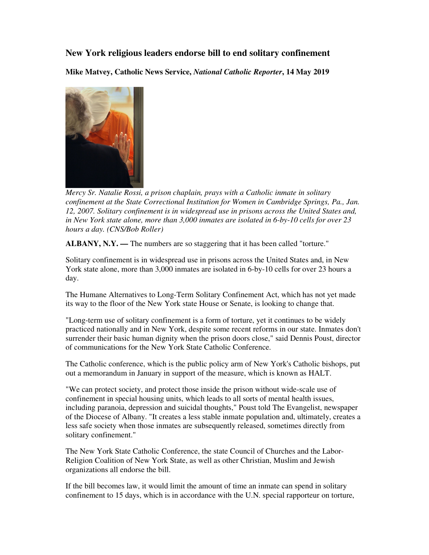## **New York religious leaders endorse bill to end solitary confinement**

**Mike Matvey, Catholic News Service,** *National Catholic Reporter***, 14 May 2019** 



*Mercy Sr. Natalie Rossi, a prison chaplain, prays with a Catholic inmate in solitary confinement at the State Correctional Institution for Women in Cambridge Springs, Pa., Jan. 12, 2007. Solitary confinement is in widespread use in prisons across the United States and, in New York state alone, more than 3,000 inmates are isolated in 6-by-10 cells for over 23 hours a day. (CNS/Bob Roller)* 

**ALBANY, N.Y. —** The numbers are so staggering that it has been called "torture."

Solitary confinement is in widespread use in prisons across the United States and, in New York state alone, more than 3,000 inmates are isolated in 6-by-10 cells for over 23 hours a day.

The Humane Alternatives to Long-Term Solitary Confinement Act, which has not yet made its way to the floor of the New York state House or Senate, is looking to change that.

"Long-term use of solitary confinement is a form of torture, yet it continues to be widely practiced nationally and in New York, despite some recent reforms in our state. Inmates don't surrender their basic human dignity when the prison doors close," said Dennis Poust, director of communications for the New York State Catholic Conference.

The Catholic conference, which is the public policy arm of New York's Catholic bishops, put out a memorandum in January in support of the measure, which is known as HALT.

"We can protect society, and protect those inside the prison without wide-scale use of confinement in special housing units, which leads to all sorts of mental health issues, including paranoia, depression and suicidal thoughts," Poust told The Evangelist, newspaper of the Diocese of Albany. "It creates a less stable inmate population and, ultimately, creates a less safe society when those inmates are subsequently released, sometimes directly from solitary confinement."

The New York State Catholic Conference, the state Council of Churches and the Labor-Religion Coalition of New York State, as well as other Christian, Muslim and Jewish organizations all endorse the bill.

If the bill becomes law, it would limit the amount of time an inmate can spend in solitary confinement to 15 days, which is in accordance with the U.N. special rapporteur on torture,